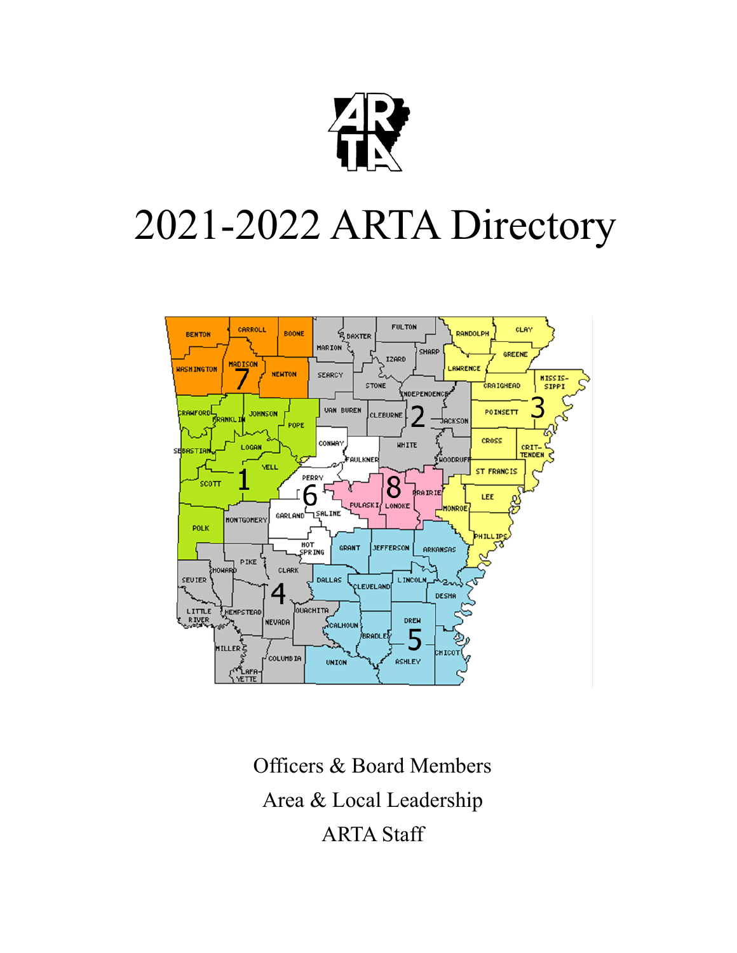

# 2021-2022 ARTA Directory



Officers & Board Members Area & Local Leadership ARTA Staff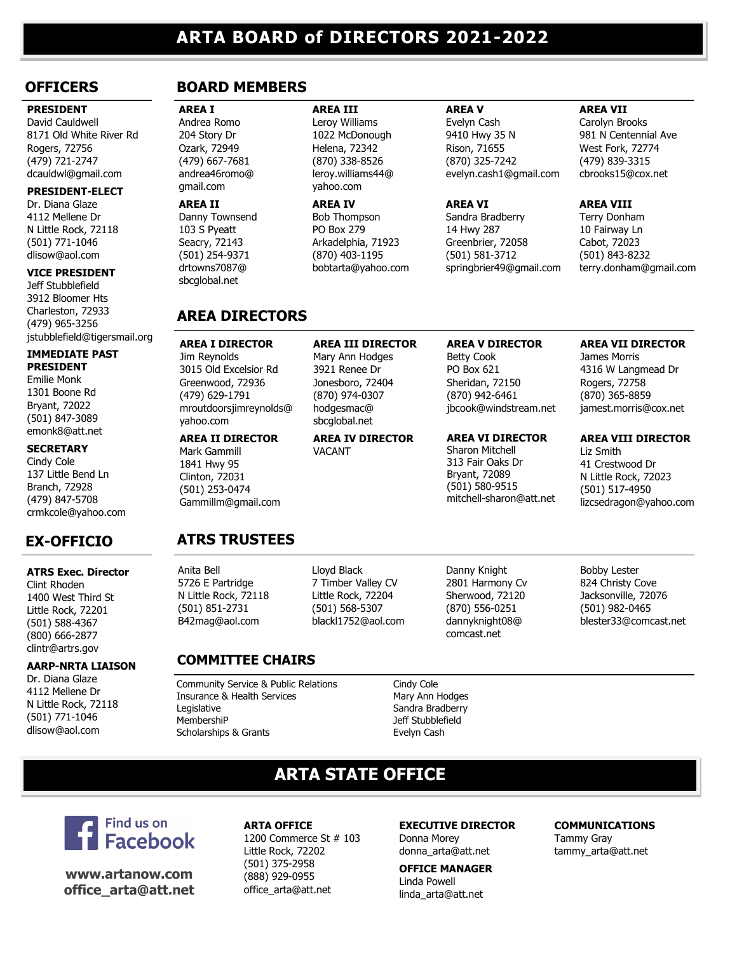#### **PRESIDENT**

David Cauldwell 8171 Old White River Rd Rogers, 72756 (479) 721-2747 dcauldwl@gmail.com

#### **PRESIDENT-ELECT**

Dr. Diana Glaze 4112 Mellene Dr N Little Rock, 72118 (501) 771-1046 [dlisow@aol.com](mailto:dlisow@aol.com)

#### **VICE PRESIDENT**

Jeff Stubblefield 3912 Bloomer Hts Charleston, 72933 (479) 965-3256 jstubblefield@tigersmail.org

#### **IMMEDIATE PAST**

**PRESIDENT** Emilie Monk 1301 Boone Rd Bryant, 72022 (501) 847-3089 emonk8@att.net

#### **SECRETARY**

Cindy Cole 137 Little Bend Ln Branch, 72928 (479) 847-5708 crmkcole@yahoo.com

# **EX-OFFICIO ATRS TRUSTEES**

#### **ATRS Exec. Director**

Clint Rhoden 1400 West Third St Little Rock, 72201 (501) 588-4367 (800) 666-2877 clintr@artrs.gov

#### **AARP-NRTA LIAISON**

Dr. Diana Glaze 4112 Mellene Dr N Little Rock, 72118 (501) 771-1046 [dlisow@aol.com](mailto:dlisow@aol.com)

# **OFFICERS BOARD MEMBERS**

**AREA I** Andrea Romo 204 Story Dr Ozark, 72949 (479) 667-7681 andrea46romo@ gmail.com

**AREA II** Danny Townsend 103 S Pyeatt Seacry, 72143 (501) 254-9371 drtowns7087@ sbcglobal.net

# **AREA III** Leroy Williams 1022 McDonough Helena, 72342

(870) 338-8526 leroy.williams44@ yahoo.com

**AREA IV** Bob Thompson PO Box 279 Arkadelphia, 71923 (870) 403-1195 bobtarta@yahoo.com

**AREA III DIRECTOR** Mary Ann Hodges 3921 Renee Dr Jonesboro, 72404 (870) 974-0307 hodgesmac@ sbcglobal.net

**AREA IV DIRECTOR**

VACANT

#### **AREA V**

Evelyn Cash 9410 Hwy 35 N Rison, 71655 (870) 325-7242 evelyn.cash1@gmail.com

#### **AREA VI**

Sandra Bradberry 14 Hwy 287 Greenbrier, 72058 (501) 581-3712 springbrier49@gmail.com

**AREA V DIRECTOR**

**AREA VI DIRECTOR** Sharon Mitchell 313 Fair Oaks Dr Bryant, 72089 (501) 580-9515 mitchell-sharon@att.net

Betty Cook PO Box 621 Sheridan, 72150 (870) 942-6461 jbcook@windstream.net

#### **AREA VII**

Carolyn Brooks 981 N Centennial Ave West Fork, 72774 (479) 839-3315 cbrooks15@cox.net

#### **AREA VIII**

Terry Donham 10 Fairway Ln Cabot, 72023 (501) 843-8232 terry.donham@gmail.com

# **AREA DIRECTORS**

#### **AREA I DIRECTOR** Jim Reynolds 3015 Old Excelsior Rd Greenwood, 72936 (479) 629-1791 mroutdoorsjimreynolds@

#### **AREA II DIRECTOR**

yahoo.com

Mark Gammill 1841 Hwy 95 Clinton, 72031 (501) 253-0474 Gammillm@gmail.com

Anita Bell 5726 E Partridge N Little Rock, 72118 (501) 851-2731 B42mag@aol.com

# **COMMITTEE CHAIRS**

Community Service & Public Relations Cindy Cole Insurance & Health Services Mary Ann Hodges Legislative **Sandra Bradberry** MembershiP MembershiP Jeff Stubblefield Scholarships & Grants **Evelyn Cash** 

# **ARTA STATE OFFICE**



**www.artanow.com office\_arta@att.net**

#### **ARTA OFFICE** 1200 Commerce St # 103 Little Rock, 72202 (501) 375-2958 (888) 929-0955 office\_arta@att.net

#### **EXECUTIVE DIRECTOR** Donna Morey donna\_arta@att.net

**OFFICE MANAGER** Linda Powell linda\_arta@att.net

# **AREA VII DIRECTOR**

James Morris 4316 W Langmead Dr Rogers, 72758 (870) 365-8859 jamest.morris@cox.net

# **AREA VIII DIRECTOR**

Liz Smith 41 Crestwood Dr N Little Rock, 72023 (501) 517-4950 lizcsedragon@yahoo.com

Bobby Lester 824 Christy Cove Jacksonville, 72076 (501) 982-0465 blester33@comcast.net

**COMMUNICATIONS**

Tammy Gray tammy\_arta@att.net

blackl1752@aol.com

Lloyd Black 7 Timber Valley CV Little Rock, 72204 (501) 568-5307

Danny Knight 2801 Harmony Cv Sherwood, 72120 (870) 556-0251

dannyknight08@ comcast.net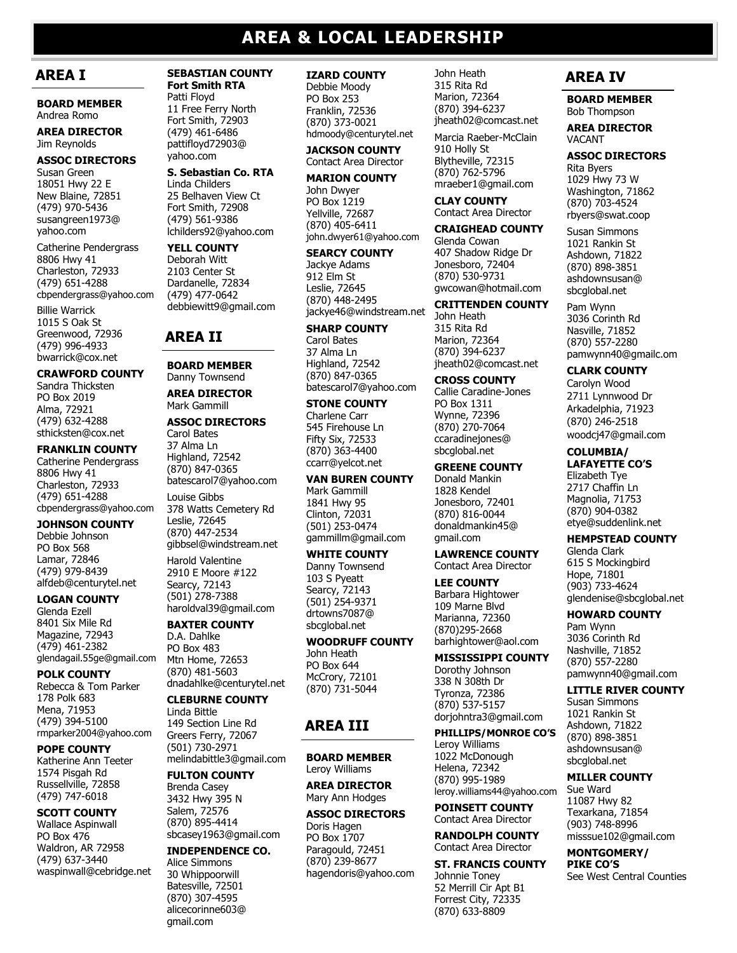# **AREA & LOCAL LEADERSHIP**

# **AREA I**

**BOARD MEMBER** Andrea Romo

#### **AREA DIRECTOR** Jim Reynolds

**ASSOC DIRECTORS** Susan Green 18051 Hwy 22 E New Blaine, 72851 (479) 970-5436 susangreen1973@ yahoo.com

Catherine Pendergrass 8806 Hwy 41 Charleston, 72933 (479) 651-4288 cbpendergrass@yahoo.com

Billie Warrick 1015 S Oak St Greenwood, 72936 (479) 996-4933 bwarrick@cox.net

#### **CRAWFORD COUNTY**

Sandra Thicksten PO Box 2019 Alma, 72921 (479) 632-4288 sthicksten@cox.net

#### **FRANKLIN COUNTY**

Catherine Pendergrass 8806 Hwy 41 Charleston, 72933 (479) 651-4288 cbpendergrass@yahoo.com

#### **JOHNSON COUNTY**

Debbie Johnson PO Box 568 Lamar, 72846 (479) 979-8439 alfdeb@centurytel.net

#### **LOGAN COUNTY**

Glenda Ezell 8401 Six Mile Rd Magazine, 72943 (479) 461-2382 glendagail.55ge@gmail.com

#### **POLK COUNTY**

Rebecca & Tom Parker 178 Polk 683 Mena, 71953 (479) 394-5100 rmparker2004@yahoo.com

**POPE COUNTY** Katherine Ann Teeter 1574 Pisgah Rd Russellville, 72858

#### (479) 747-6018 **SCOTT COUNTY**

Wallace Aspinwall PO Box 476 Waldron, AR 72958 (479) 637-3440 waspinwall@cebridge.net

#### **SEBASTIAN COUNTY Fort Smith RTA**

Patti Floyd 11 Free Ferry North Fort Smith, 72903 (479) 461-6486 pattifloyd72903@ yahoo.com

#### **S. Sebastian Co. RTA**

Linda Childers 25 Belhaven View Ct Fort Smith, 72908 (479) 561-9386 lchilders92@yahoo.com

#### **YELL COUNTY** Deborah Witt 2103 Center St

Dardanelle, 72834 (479) 477-0642 debbiewitt9@gmail.com

# **AREA II**

#### **BOARD MEMBER** Danny Townsend

**AREA DIRECTOR** Mark Gammill

#### **ASSOC DIRECTORS** Carol Bates

37 Alma Ln Highland, 72542 (870) 847-0365 batescarol7@yahoo.com

Louise Gibbs 378 Watts Cemetery Rd Leslie, 72645 (870) 447-2534 gibbsel@windstream.net

Harold Valentine 2910 E Moore #122 Searcy, 72143 (501) 278-7388 haroldval39@gmail.com

#### **BAXTER COUNTY**

D.A. Dahlke PO Box 483 Mtn Home, 72653 (870) 481-5603 dnadahlke@centurytel.net

#### **CLEBURNE COUNTY**

Linda Bittle 149 Section Line Rd Greers Ferry, 72067 (501) 730-2971 melindabittle3@gmail.com

#### **FULTON COUNTY**

Brenda Casey 3432 Hwy 395 N Salem, 72576 (870) 895-4414 sbcasey1963@gmail.com

#### **INDEPENDENCE CO.** Alice Simmons

30 Whippoorwill Batesville, 72501 (870) 307-4595 alicecorinne603@ gmail.com

#### **IZARD COUNTY**

Debbie Moody PO Box 253 Franklin, 72536 (870) 373-0021 hdmoody@centurytel.net

**JACKSON COUNTY** Contact Area Director

#### **MARION COUNTY**

John Dwyer PO Box 1219 Yellville, 72687 (870) 405-6411 john.dwyer61@yahoo.com

#### **SEARCY COUNTY**

Jackye Adams 912 Elm St Leslie, 72645 (870) 448-2495 jackye46@windstream.net

#### **SHARP COUNTY**

Carol Bates 37 Alma Ln Highland, 72542 (870) 847-0365 batescarol7@yahoo.com

#### **STONE COUNTY**

Charlene Carr 545 Firehouse Ln Fifty Six, 72533 (870) 363-4400 ccarr@yelcot.net

#### **VAN BUREN COUNTY**

Mark Gammill 1841 Hwy 95 Clinton, 72031 (501) 253-0474 gammillm@gmail.com

#### **WHITE COUNTY**

Danny Townsend 103 S Pyeatt Searcy, 72143 (501) 254-9371 drtowns7087@ sbcglobal.net

#### **WOODRUFF COUNTY**

John Heath PO Box 644 McCrory, 72101 (870) 731-5044

# **AREA III**

**BOARD MEMBER** Leroy Williams

**AREA DIRECTOR** Mary Ann Hodges

#### **ASSOC DIRECTORS** Doris Hagen

PO Box 1707 Paragould, 72451 (870) 239-8677 hagendoris@yahoo.com

#### John Heath 315 Rita Rd Marion, 72364 (870) 394-6237 jheath02@comcast.net

Marcia Raeber-McClain 910 Holly St Blytheville, 72315

(870) 762-5796 mraeber1@gmail.com

#### **CLAY COUNTY** Contact Area Director

#### **CRAIGHEAD COUNTY**

Glenda Cowan 407 Shadow Ridge Dr Jonesboro, 72404 (870) 530-9731 gwcowan@hotmail.com

#### **CRITTENDEN COUNTY**

John Heath 315 Rita Rd Marion, 72364 (870) 394-6237 jheath02@comcast.net

#### **CROSS COUNTY**

Callie Caradine-Jones PO Box 1311 Wynne, 72396 (870) 270-7064 ccaradinejones@ sbcglobal.net

#### **GREENE COUNTY**

Donald Mankin 1828 Kendel Jonesboro, 72401 (870) 816-0044 donaldmankin45@ gmail.com

#### **LAWRENCE COUNTY** Contact Area Director

**LEE COUNTY** Barbara Hightower 109 Marne Blvd Marianna, 72360 (870)295-2668 barhightower@aol.com

#### **MISSISSIPPI COUNTY**

Dorothy Johnson 338 N 308th Dr Tyronza, 72386 (870) 537-5157 dorjohntra3@gmail.com

# **PHILLIPS/MONROE CO'S**

Leroy Williams 1022 McDonough Helena, 72342 (870) 995-1989 leroy.williams44@yahoo.com

#### **POINSETT COUNTY** Contact Area Director

**RANDOLPH COUNTY** Contact Area Director

# **ST. FRANCIS COUNTY**

Johnnie Toney 52 Merrill Cir Apt B1 Forrest City, 72335 (870) 633-8809

# **AREA IV**

**BOARD MEMBER** Bob Thompson

#### **AREA DIRECTOR** VACANT

**ASSOC DIRECTORS** Rita Byers 1029 Hwy 73 W Washington, 71862 (870) 703-4524 rbyers@swat.coop

Susan Simmons 1021 Rankin St Ashdown, 71822 (870) 898-3851 ashdownsusan@ sbcglobal.net

Pam Wynn 3036 Corinth Rd Nasville, 71852 (870) 557-2280 pamwynn40@gmailc.om

#### **CLARK COUNTY**

Carolyn Wood 2711 Lynnwood Dr Arkadelphia, 71923 (870) 246-2518 woodcj47@gmail.com

#### **COLUMBIA/**

**LAFAYETTE CO'S** Elizabeth Tye 2717 Chaffin Ln Magnolia, 71753 (870) 904-0382 etye@suddenlink.net

## **HEMPSTEAD COUNTY**

Glenda Clark 615 S Mockingbird Hope, 71801 (903) 733-4624 glendenise@sbcglobal.net

#### **HOWARD COUNTY**

Pam Wynn 3036 Corinth Rd Nashville, 71852 (870) 557-2280 pamwynn40@gmail.com

#### **LITTLE RIVER COUNTY**

See West Central Counties

Susan Simmons 1021 Rankin St Ashdown, 71822 (870) 898-3851 ashdownsusan@ sbcglobal.net **MILLER COUNTY**

Sue Ward 11087 Hwy 82 Texarkana, 71854 (903) 748-8996 misssue102@gmail.com **MONTGOMERY/ PIKE CO'S**